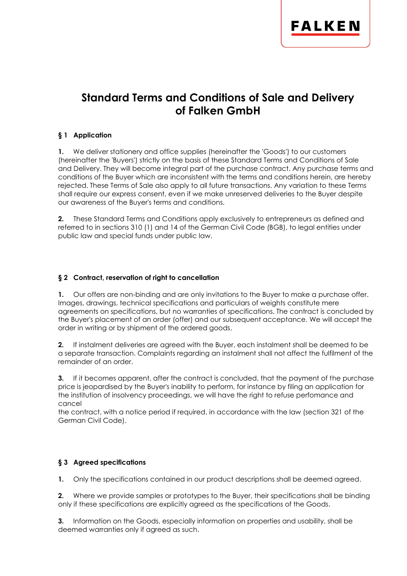

# **Standard Terms and Conditions of Sale and Delivery of Falken GmbH**

## **§ 1 Application**

**1.** We deliver stationery and office supplies (hereinafter the 'Goods') to our customers (hereinafter the 'Buyers') strictly on the basis of these Standard Terms and Conditions of Sale and Delivery. They will become integral part of the purchase contract. Any purchase terms and conditions of the Buyer which are inconsistent with the terms and conditions herein, are hereby rejected. These Terms of Sale also apply to all future transactions. Any variation to these Terms shall require our express consent, even if we make unreserved deliveries to the Buyer despite our awareness of the Buyer's terms and conditions.

**2.** These Standard Terms and Conditions apply exclusively to entrepreneurs as defined and referred to in sections 310 (1) and 14 of the German Civil Code (BGB), to legal entities under public law and special funds under public law.

#### **§ 2 Contract, reservation of right to cancellation**

**1.** Our offers are non-binding and are only invitations to the Buyer to make a purchase offer. Images, drawings, technical specifications and particulars of weights constitute mere agreements on specifications, but no warranties of specifications. The contract is concluded by the Buyer's placement of an order (offer) and our subsequent acceptance. We will accept the order in writing or by shipment of the ordered goods.

**2.** If instalment deliveries are agreed with the Buyer, each instalment shall be deemed to be a separate transaction. Complaints regarding an instalment shall not affect the fulfilment of the remainder of an order.

**3.** If it becomes apparent, after the contract is concluded, that the payment of the purchase price is jeopardised by the Buyer's inability to perform, for instance by filing an application for the institution of insolvency proceedings, we will have the right to refuse perfomance and cancel

the contract, with a notice period if required, in accordance with the law (section 321 of the German Civil Code).

## **§ 3 Agreed specifications**

**1.** Only the specifications contained in our product descriptions shall be deemed agreed.

**2.** Where we provide samples or prototypes to the Buyer, their specifications shall be binding only if these specifications are explicitly agreed as the specifications of the Goods.

**3.** Information on the Goods, especially information on properties and usability, shall be deemed warranties only if agreed as such.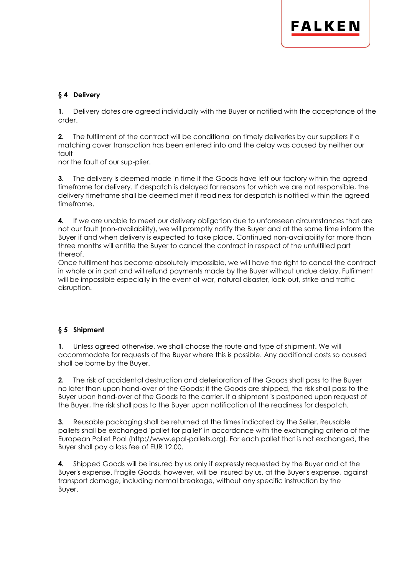## **§ 4 Delivery**

**1.** Delivery dates are agreed individually with the Buyer or notified with the acceptance of the order.

**2.** The fulfilment of the contract will be conditional on timely deliveries by our suppliers if a matching cover transaction has been entered into and the delay was caused by neither our fault

nor the fault of our sup-plier.

**3.** The delivery is deemed made in time if the Goods have left our factory within the agreed timeframe for delivery. If despatch is delayed for reasons for which we are not responsible, the delivery timeframe shall be deemed met if readiness for despatch is notified within the agreed timeframe.

**4.** If we are unable to meet our delivery obligation due to unforeseen circumstances that are not our fault (non-availability), we will promptly notify the Buyer and at the same time inform the Buyer if and when delivery is expected to take place. Continued non-availability for more than three months will entitle the Buyer to cancel the contract in respect of the unfulfilled part thereof.

Once fulfilment has become absolutely impossible, we will have the right to cancel the contract in whole or in part and will refund payments made by the Buyer without undue delay. Fulfilment will be impossible especially in the event of war, natural disaster, lock-out, strike and traffic disruption.

## **§ 5 Shipment**

**1.** Unless agreed otherwise, we shall choose the route and type of shipment. We will accommodate for requests of the Buyer where this is possible. Any additional costs so caused shall be borne by the Buyer.

**2.** The risk of accidental destruction and deterioration of the Goods shall pass to the Buyer no later than upon hand-over of the Goods; if the Goods are shipped, the risk shall pass to the Buyer upon hand-over of the Goods to the carrier. If a shipment is postponed upon request of the Buyer, the risk shall pass to the Buyer upon notification of the readiness for despatch.

**3.** Reusable packaging shall be returned at the times indicated by the Seller. Reusable pallets shall be exchanged 'pallet for pallet' in accordance with the exchanging criteria of the European Pallet Pool (http://www.epal-pallets.org). For each pallet that is not exchanged, the Buyer shall pay a loss fee of EUR 12.00.

**4.** Shipped Goods will be insured by us only if expressly requested by the Buyer and at the Buyer's expense. Fragile Goods, however, will be insured by us, at the Buyer's expense, against transport damage, including normal breakage, without any specific instruction by the Buyer.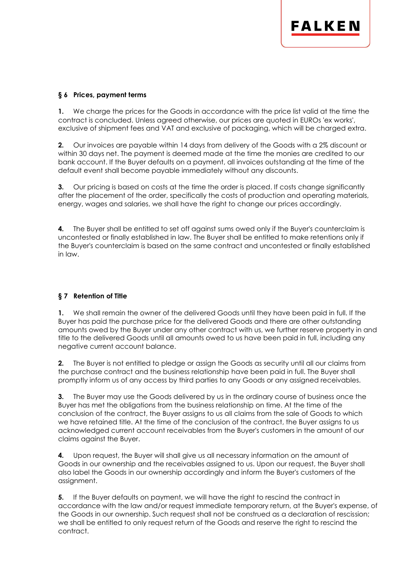## **§ 6 Prices, payment terms**

**1.** We charge the prices for the Goods in accordance with the price list valid at the time the contract is concluded. Unless agreed otherwise, our prices are quoted in EUROs 'ex works', exclusive of shipment fees and VAT and exclusive of packaging, which will be charged extra.

**2.** Our invoices are payable within 14 days from delivery of the Goods with a 2% discount or within 30 days net. The payment is deemed made at the time the monies are credited to our bank account. If the Buyer defaults on a payment, all invoices outstanding at the time of the default event shall become payable immediately without any discounts.

**3.** Our pricing is based on costs at the time the order is placed. If costs change significantly after the placement of the order, specifically the costs of production and operating materials, energy, wages and salaries, we shall have the right to change our prices accordingly.

**4.** The Buyer shall be entitled to set off against sums owed only if the Buyer's counterclaim is uncontested or finally established in law. The Buyer shall be entitled to make retentions only if the Buyer's counterclaim is based on the same contract and uncontested or finally established in law.

## **§ 7 Retention of Title**

**1.** We shall remain the owner of the delivered Goods until they have been paid in full. If the Buyer has paid the purchase price for the delivered Goods and there are other outstanding amounts owed by the Buyer under any other contract with us, we further reserve property in and title to the delivered Goods until all amounts owed to us have been paid in full, including any negative current account balance.

**2.** The Buyer is not entitled to pledge or assign the Goods as security until all our claims from the purchase contract and the business relationship have been paid in full. The Buyer shall promptly inform us of any access by third parties to any Goods or any assigned receivables.

**3.** The Buyer may use the Goods delivered by us in the ordinary course of business once the Buyer has met the obligations from the business relationship on time. At the time of the conclusion of the contract, the Buyer assigns to us all claims from the sale of Goods to which we have retained title. At the time of the conclusion of the contract, the Buyer assigns to us acknowledged current account receivables from the Buyer's customers in the amount of our claims against the Buyer.

**4.** Upon request, the Buyer will shall give us all necessary information on the amount of Goods in our ownership and the receivables assigned to us. Upon our request, the Buyer shall also label the Goods in our ownership accordingly and inform the Buyer's customers of the assignment.

**5.** If the Buyer defaults on payment, we will have the right to rescind the contract in accordance with the law and/or request immediate temporary return, at the Buyer's expense, of the Goods in our ownership. Such request shall not be construed as a declaration of rescission; we shall be entitled to only request return of the Goods and reserve the right to rescind the contract.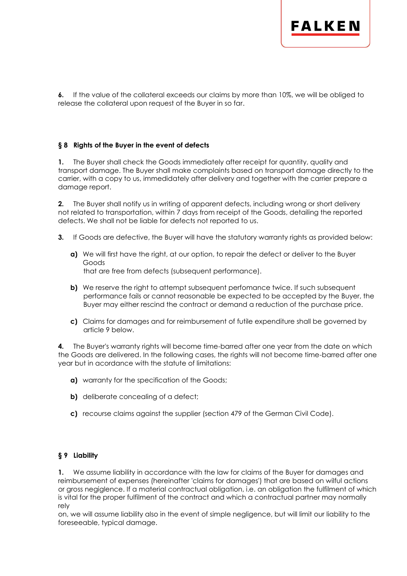

**6.** If the value of the collateral exceeds our claims by more than 10%, we will be obliged to release the collateral upon request of the Buyer in so far.

#### **§ 8 Rights of the Buyer in the event of defects**

**1.** The Buyer shall check the Goods immediately after receipt for quantity, quality and transport damage. The Buyer shall make complaints based on transport damage directly to the carrier, with a copy to us, immedidately after delivery and together with the carrier prepare a damage report.

**2.** The Buyer shall notify us in writing of apparent defects, including wrong or short delivery not related to transportation, within 7 days from receipt of the Goods, detailing the reported defects. We shall not be liable for defects not reported to us.

- **3.** If Goods are defective, the Buyer will have the statutory warranty rights as provided below:
	- **a)** We will first have the right, at our option, to repair the defect or deliver to the Buyer Goods that are free from defects (subsequent performance).
	- **b)** We reserve the right to attempt subsequent perfomance twice. If such subsequent performance fails or cannot reasonable be expected to be accepted by the Buyer, the Buyer may either rescind the contract or demand a reduction of the purchase price.
	- **c)** Claims for damages and for reimbursement of futile expenditure shall be governed by article 9 below.

**4.** The Buyer's warranty rights will become time-barred after one year from the date on which the Goods are delivered. In the following cases, the rights will not become time-barred after one year but in acordance with the statute of limitations:

- **a)** warranty for the specification of the Goods;
- **b)** deliberate concealing of a defect;
- **c)** recourse claims against the supplier (section 479 of the German Civil Code).

#### **§ 9 Liability**

**1.** We assume liability in accordance with the law for claims of the Buyer for damages and reimbursement of expenses (hereinafter 'claims for damages') that are based on wilful actions or gross negiglence. If a material contractual obligation, i.e. an obligation the fulfilment of which is vital for the proper fulfilment of the contract and which a contractual partner may normally rely

on, we will assume liability also in the event of simple negligence, but will limit our liability to the foreseeable, typical damage.